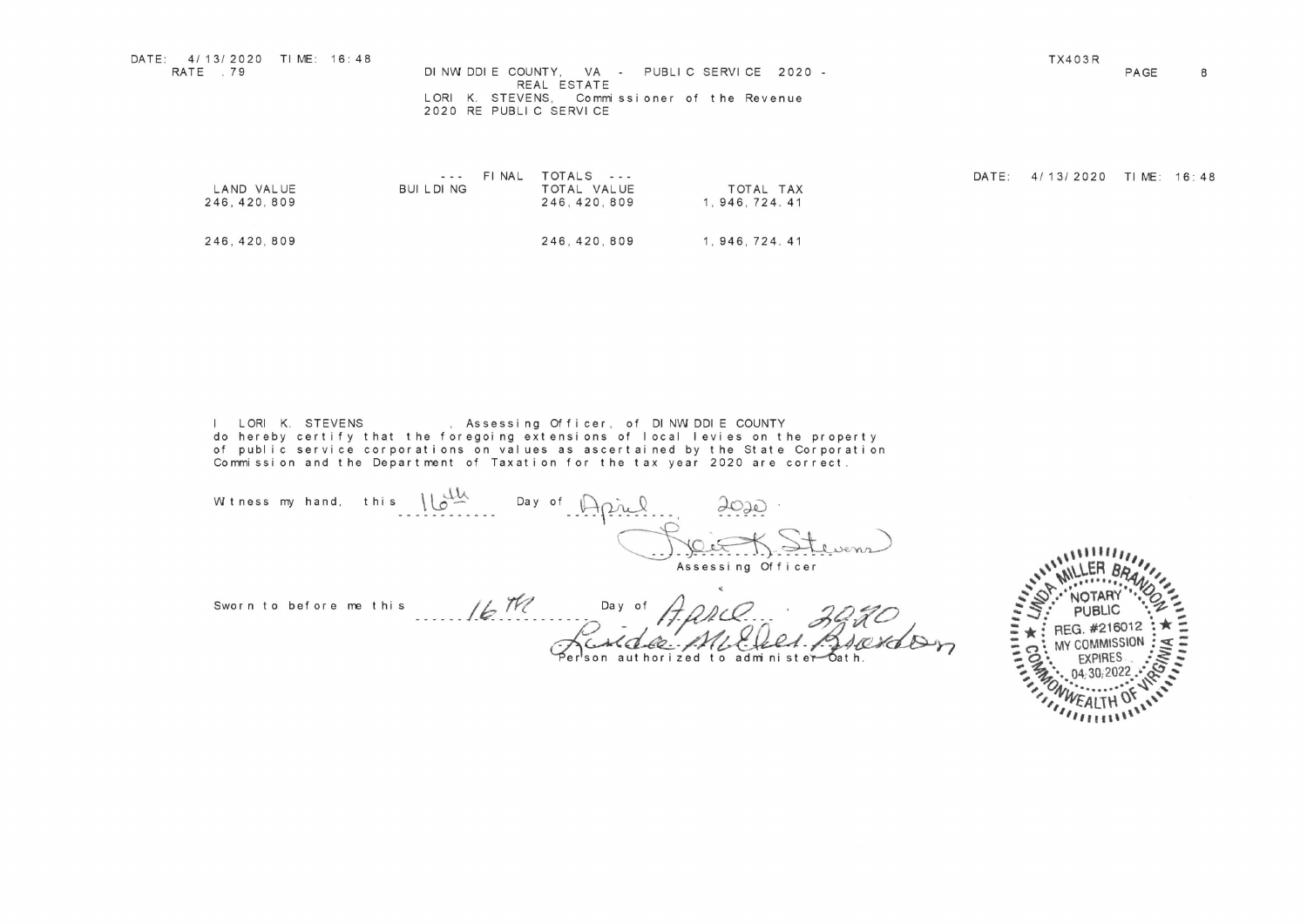| DATE: 4/13/2020 TIME: 16:48<br>RATE 79 | DINWIDDIE COUNTY. VA - PUBLIC SERVICE 2020 -<br>REAL ESTATE            | TX403R | PAGE | 8 |
|----------------------------------------|------------------------------------------------------------------------|--------|------|---|
|                                        | LORI K. STEVENS. Commissioner of the Revenue<br>2020 RE PUBLIC SERVICE |        |      |   |

| DATE: 4/13/2020 TIME: 16:48<br>RATE .79<br>TX403R<br>PAGE 8<br>DINWIDDIE COUNTY, VA - PUBLIC SERVICE 2020 -<br>REAL ESTATE<br>LORI K. STEVENS, Commissioner of the Revenue<br>2020 RE PUBLIC SERVICE<br>DATE: 4/13/2020 TIME: 16:48<br>--- FINAL TOTALS ---<br>BUILDING TOTAL VALUE TOTAL TAX<br>246,420,809 1,946,724.41 |
|---------------------------------------------------------------------------------------------------------------------------------------------------------------------------------------------------------------------------------------------------------------------------------------------------------------------------|
| LAND VALUE<br>246, 420, 809<br>246, 420, 809 1, 946, 724. 41<br>246, 420, 809<br>l LORI K. STEVENS, Assessing Officer, of DINWIDDIE COUNTY<br>do hereby certify that the foregoing extensions of local levies on the property<br>of public service corporations on values as ascertained by the State Corporation<br>Com  |
| Whereas my hand, this $\frac{dM}{d\lambda}$ Day of April 2020.<br>Assessing Officer<br>111111.<br><b>IN LER BOY</b><br>Sworn to before me this $\frac{1}{6}$ TV Day of $\frac{1}{4}$ PRC<br>Redde ML Cell Are<br>Provence<br>: MY COMMI<br>$\cdot$ EXPIRES<br>$\cdot$ 04,30,2022<br>"WEALTH OF                            |
|                                                                                                                                                                                                                                                                                                                           |

4' Asses <u>n l</u> 4-- j O T Cu t SCJ. J s C) C C CO t 0 N C

y C Day o  $\epsilon$ Sworn to before me this

erson authorized to administer—"Oath.

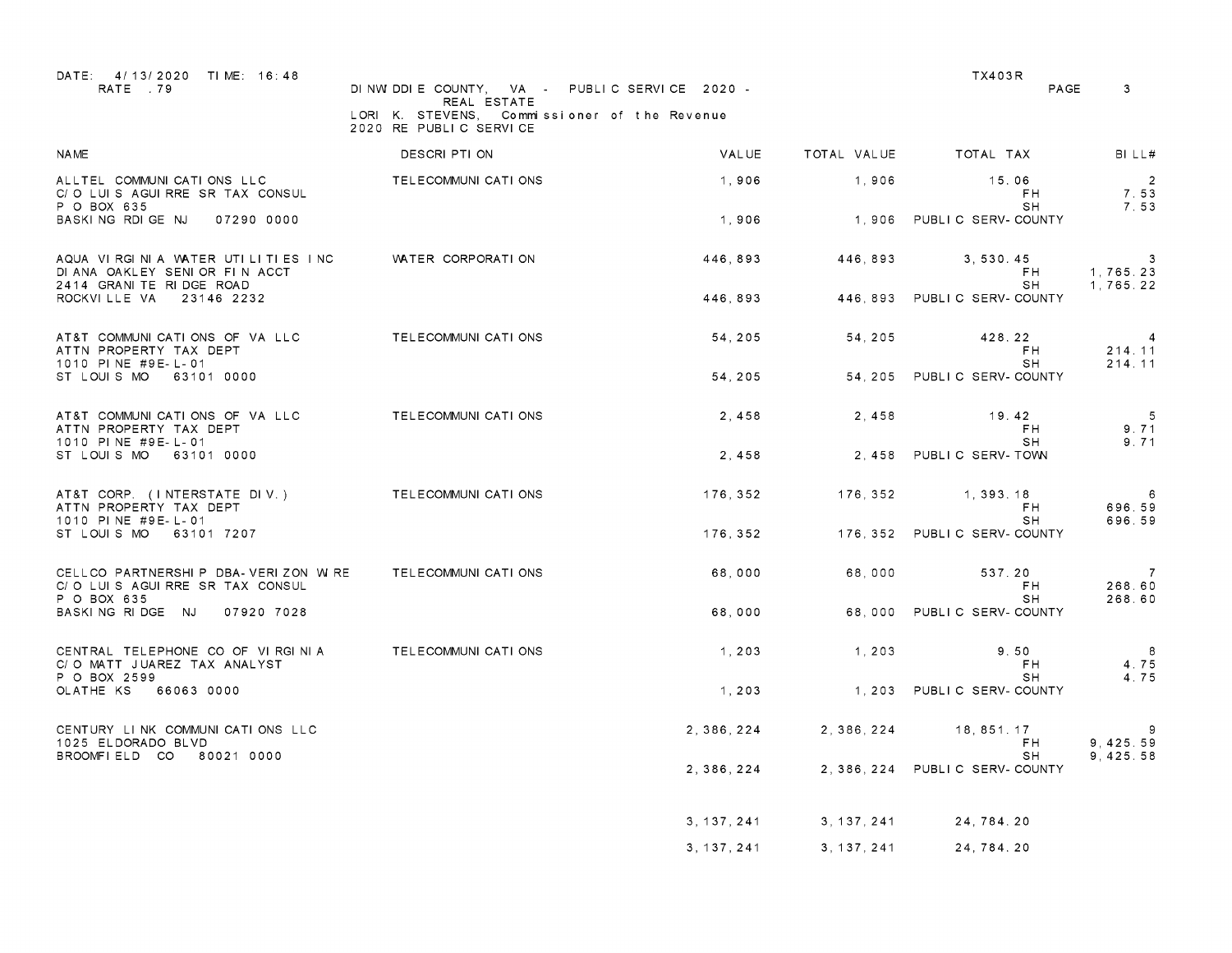| DATE: 4/13/2020 TIME: 16:48<br>RATE 79                                                                      | DINWIDDIE COUNTY, VA - PUBLIC SERVICE 2020 -<br>REAL ESTATE<br>LORI K. STEVENS, Commissioner of the Revenue<br>2020 RE PUBLIC SERVICE |               |             | TX403R<br>PAGE                            | $\mathbf{3}$                             |
|-------------------------------------------------------------------------------------------------------------|---------------------------------------------------------------------------------------------------------------------------------------|---------------|-------------|-------------------------------------------|------------------------------------------|
| <b>NAME</b>                                                                                                 | DESCRI PTI ON                                                                                                                         | VALUE         |             | TOTAL VALUE TOTAL TAX                     | BILL#                                    |
| ALLTEL COMMUNICATIONS LLC<br>C/O LUIS AGUIRRE SR TAX CONSUL<br>P O BOX 635                                  | TELECOMMUNI CATI ONS                                                                                                                  | 1,906         | 1,906       | 15.06<br>FH.<br>SH                        | $\overline{\phantom{a}}$<br>7.53<br>7.53 |
| BASKING RDIGE NJ<br>07290 0000                                                                              |                                                                                                                                       | 1,906         |             | 1,906 PUBLIC SERV-COUNTY                  |                                          |
| AQUA VIRGINIA WATER UTILITIES INC<br>DI ANA OAKLEY SENIOR FIN ACCT                                          | WATER CORPORATION                                                                                                                     | 446,893       | 446,893     | 3, 530, 45<br>FH                          | $\mathbf{3}$<br>1,765.23                 |
| 2414 GRANITE RIDGE ROAD<br>ROCKVILLE VA 23146 2232                                                          |                                                                                                                                       | 446, 893      |             | SH<br>446, 893 PUBLIC SERV-COUNTY         | 1,765.22                                 |
| AT&T COMMUNICATIONS OF VA LLC<br>ATTN PROPERTY TAX DEPT                                                     | TELECOMMUNI CATI ONS                                                                                                                  | 54.205        | 54, 205     | 428.22<br>FH.                             | $\overline{4}$<br>214.11                 |
| 1010 PINE #9E-L-01<br>ST LOUIS MO 63101 0000                                                                |                                                                                                                                       | 54, 205       |             | SH<br>54, 205 PUBLIC SERV-COUNTY          | 214.11                                   |
| AT&T COMMUNICATIONS OF VA LLC<br>ATTN PROPERTY TAX DEPT<br>1010 PINE #9E-L-01                               | TELECOMMUNI CATI ONS                                                                                                                  | 2,458         | 2,458       | 19.42<br>FH.<br>SH                        | $-5$<br>9.71<br>9.71                     |
| ST LOUIS MO 63101 0000                                                                                      |                                                                                                                                       | 2,458         |             | 2,458 PUBLIC SERV-TOWN                    |                                          |
| AT&T CORP. (INTERSTATE DIV.) TELECOMMUNICATIONS<br>ATTN PROPERTY TAX DEPT<br>1010 PINE #9E-L-01             |                                                                                                                                       | 176,352       | 176,352     | 1, 393, 18<br>F <sub>H</sub><br><b>SH</b> | 6<br>696.59<br>696.59                    |
| ST LOUIS MO 63101 7207                                                                                      |                                                                                                                                       |               |             | 176, 352 176, 352 PUBLIC SERV-COUNTY      |                                          |
| CELLCO PARTNERSHI P DBA- VERIZON W RE TELECOMMUNI CATI ONS<br>C/O LUIS AGUIRRE SR TAX CONSUL<br>P O BOX 635 |                                                                                                                                       | 68,000        | 68,000      | 537.20<br>FH.<br>SH.                      | $\overline{7}$<br>268.60<br>268.60       |
| BASKING RIDGE NJ<br>07920 7028                                                                              |                                                                                                                                       | 68,000        |             | 68,000 PUBLIC SERV-COUNTY                 |                                          |
| CENTRAL TELEPHONE CO OF VIRGINIA<br>C/O MATT JUAREZ TAX ANALYST                                             | TELECOMMUNI CATI ONS                                                                                                                  | 1, 203        | 1.203       | 9.50<br>FH.                               | $_{\rm 8}$<br>4.75                       |
| P O BOX 2599<br>OLATHE KS 66063 0000                                                                        |                                                                                                                                       | 1, 203        |             | <b>SH</b><br>1, 203 PUBLIC SERV-COUNTY    | 4.75                                     |
| CENTURY LINK COMMUNICATIONS LLC<br>1025 ELDORADO BLVD                                                       |                                                                                                                                       | 2, 386, 224   | 2, 386, 224 | 18,851.17<br>FH.                          | - 9<br>9, 425.59                         |
| BROOMFIELD CO 80021 0000                                                                                    |                                                                                                                                       | 2, 386, 224   |             | SH<br>2, 386, 224 PUBLIC SERV-COUNTY      | 9, 425.58                                |
|                                                                                                             |                                                                                                                                       |               |             |                                           |                                          |
|                                                                                                             |                                                                                                                                       | 3 , 137 , 241 |             | 3, 137, 241 24, 784. 20                   |                                          |
|                                                                                                             |                                                                                                                                       | 3,137,241     | 3, 137, 241 | 24,784.20                                 |                                          |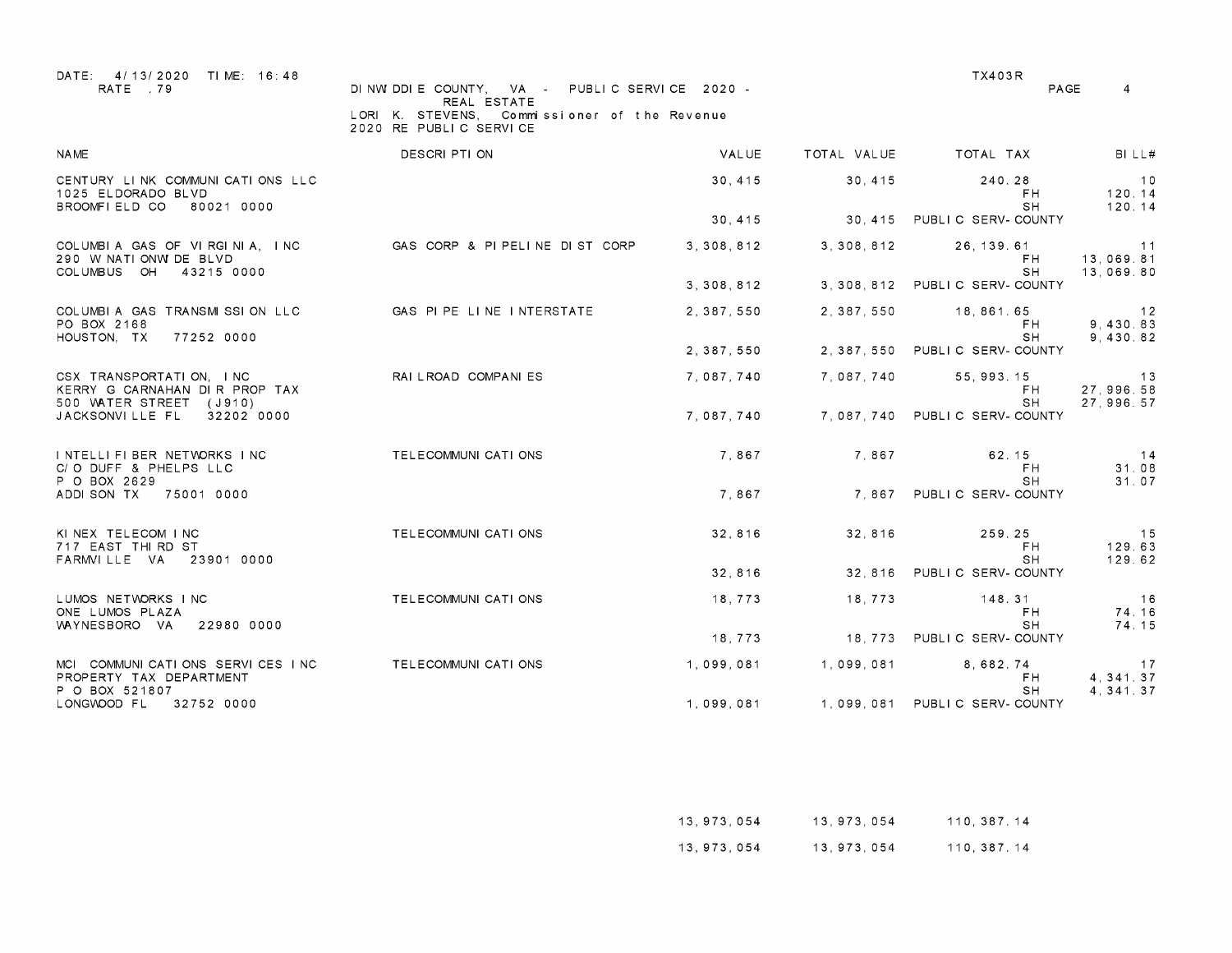| DATE: 4/13/2020 TIME: 16:48<br>RATE 79                                               | DINWIDDIE COUNTY, VA - PUBLIC SERVICE 2020 -<br>REAL ESTATE<br>LORI K. STEVENS.<br>Commissioner of the Revenue |              |             | TX403R                                     | PAGE<br>$\overline{4}$       |
|--------------------------------------------------------------------------------------|----------------------------------------------------------------------------------------------------------------|--------------|-------------|--------------------------------------------|------------------------------|
| <b>NAME</b>                                                                          | 2020 RE PUBLIC SERVICE<br>DESCRI PTI ON                                                                        | <b>VALUE</b> | TOTAL VALUE | TOTAL TAX                                  | BILL#                        |
|                                                                                      |                                                                                                                |              |             |                                            |                              |
| CENTURY LINK COMMUNICATIONS LLC<br>1025 ELDORADO BLVD<br>BROOMFIELD CO<br>80021 0000 |                                                                                                                | 30, 415      | 30, 415     | 240.28<br>FH<br>SH                         | 10<br>120.14<br>120.14       |
|                                                                                      |                                                                                                                | 30, 415      | 30.415      | PUBLIC SERV-COUNTY                         |                              |
| COLUMBIA GAS OF VIRGINIA, INC.<br>290 W NATIONW DE BLVD<br>COLUMBUS OH<br>43215 0000 | GAS CORP & PIPELINE DIST CORP                                                                                  | 3, 308, 812  | 3, 308, 812 | 26, 139, 61<br>F <sub>H</sub><br><b>SH</b> | 11<br>13,069.81<br>13,069.80 |
|                                                                                      |                                                                                                                | 3, 308, 812  | 3, 308, 812 | PUBLIC SERV-COUNTY                         |                              |
| COLUMBIA GAS TRANSMISSION LLC<br>PO BOX 2168                                         | GAS PIPE LINE INTERSTATE                                                                                       | 2, 387, 550  | 2, 387, 550 | 18,861,65<br>FH                            | 12<br>9,430.83               |
| HOUSTON, TX<br>77252 0000                                                            |                                                                                                                | 2, 387, 550  | 2, 387, 550 | <b>SH</b><br>PUBLIC SERV-COUNTY            | 9.430.82                     |
| CSX TRANSPORTATION, INC<br>KERRY G CARNAHAN DIR PROP TAX                             | RAI LROAD COMPANIES                                                                                            | 7.087.740    | 7.087.740   | 55.993.15<br>FH.                           | 13<br>27, 996. 58            |
| 500 WATER STREET (J910)<br>JACKSONVILLE FL<br>32202 0000                             |                                                                                                                | 7.087.740    |             | <b>SH</b><br>7.087.740 PUBLIC SERV-COUNTY  | 27, 996. 57                  |
| INTELLIFIBER NETWORKS INC<br>C/O DUFF & PHELPS LLC<br>P O BOX 2629                   | TELECOMMUNI CATI ONS                                                                                           | 7.867        | 7.867       | 62.15<br>FH.<br>SH                         | 14<br>31.08<br>31.07         |
| ADDI SON TX<br>75001 0000                                                            |                                                                                                                | 7.867        |             | 7.867 PUBLIC SERV-COUNTY                   |                              |
| KINEX TELECOM INC<br>717 EAST THIRD ST                                               | TELECOMMUNI CATI ONS                                                                                           | 32,816       | 32, 816     | 259.25<br>F <sub>H</sub>                   | 15<br>129.63                 |
| FARMVILLE VA<br>23901 0000                                                           |                                                                                                                | 32, 816      | 32, 816     | <b>SH</b><br>PUBLIC SERV-COUNTY            | 129.62                       |
| LUMOS NETWORKS INC<br>ONE LUMOS PLAZA                                                | TELECOMMUNI CATI ONS                                                                                           | 18,773       | 18,773      | 148.31<br><b>FH</b>                        | 16<br>74.16                  |
| WAYNESBORO VA<br>22980 0000                                                          |                                                                                                                | 18,773       |             | <b>SH</b><br>18, 773 PUBLIC SERV-COUNTY    | 74.15                        |
| MCI COMMUNICATIONS SERVICES INC<br>PROPERTY TAX DEPARTMENT                           | TELECOMMUNI CATI ONS                                                                                           | 1,099,081    | 1,099,081   | 8,682.74<br>FH.                            | 17<br>4.341.37               |
| P O BOX 521807<br>LONGWOOD FL<br>32752 0000                                          |                                                                                                                | 1,099,081    |             | SH<br>1.099.081 PUBLIC SERV-COUNTY         | 4, 341.37                    |

| 13,973,054 | 13,973,054 | 110, 387, 14 |
|------------|------------|--------------|
| 13,973,054 | 13,973,054 | 110, 387. 14 |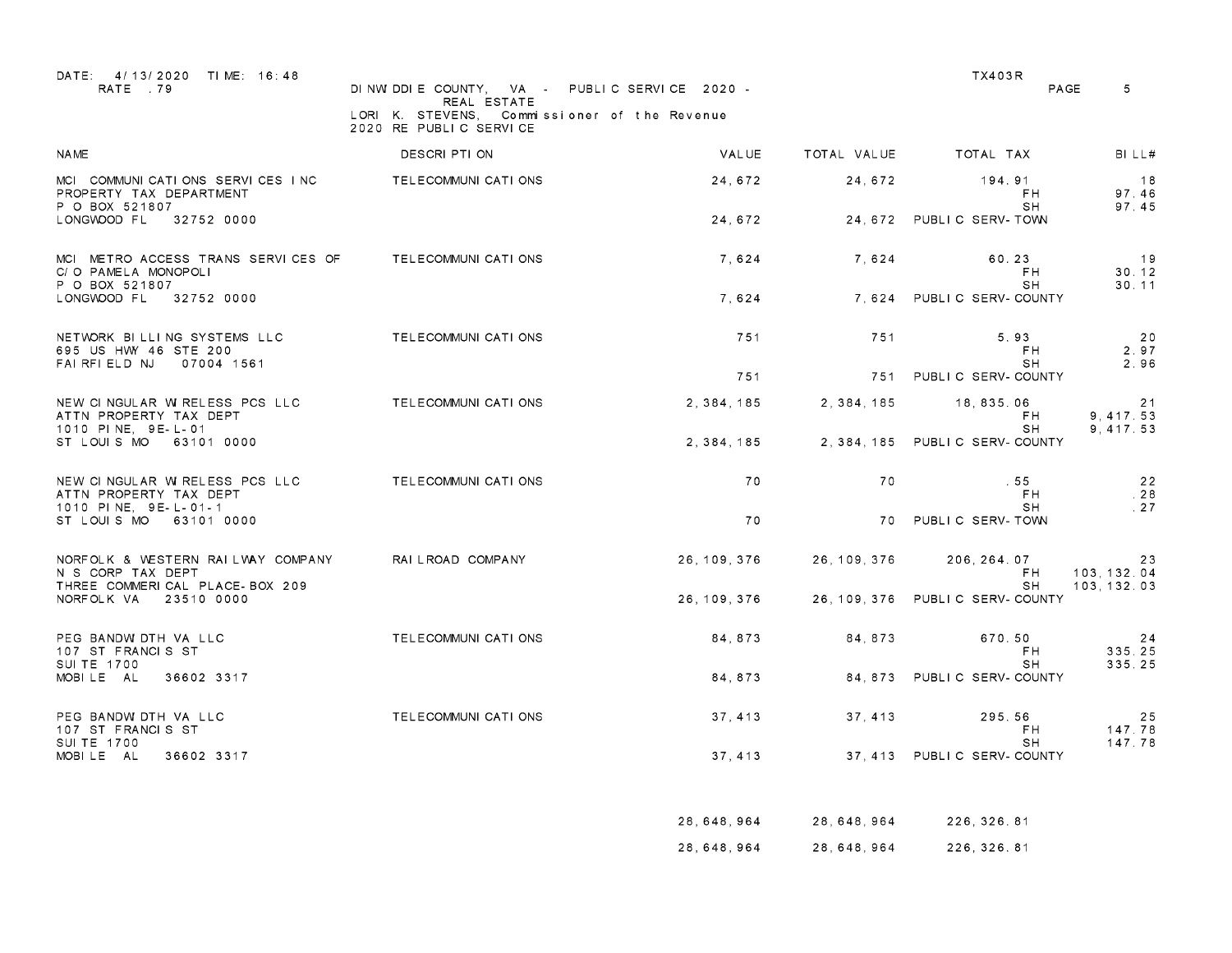| DATE: 4/13/2020 TIME: 16:48<br>RATE 79                                                         | DINW DDIE COUNTY, VA - PUBLIC SERVICE 2020 -<br>REAL ESTATE<br>LORI K. STEVENS, Commissioner of the Revenue<br>2020 RE PUBLIC SERVICE |              |                                        | <b>TX403R</b>                            | PAGE<br>-5                  |
|------------------------------------------------------------------------------------------------|---------------------------------------------------------------------------------------------------------------------------------------|--------------|----------------------------------------|------------------------------------------|-----------------------------|
| <b>NAME</b>                                                                                    | DESCRI PTI ON                                                                                                                         | VALUE        | TOTAL VALUE                            | TOTAL TAX                                | BILLH                       |
| MCI COMMUNICATIONS SERVICES INC<br>PROPERTY TAX DEPARTMENT<br>P O BOX 521807                   | TELECOMMUNI CATI ONS                                                                                                                  | 24,672       | 24,672                                 | 194.91<br>FH.<br>SH.                     | 18<br>97.46<br>97.45        |
| LONGWOOD FL 32752 0000                                                                         |                                                                                                                                       | 24.672       |                                        | 24, 672 PUBLIC SERV-TOWN                 |                             |
| MCI METRO ACCESS TRANS SERVICES OF TELECOMMUNICATIONS<br>C/O PAMELA MONOPOLI<br>P O BOX 521807 |                                                                                                                                       | 7,624        | 7,624                                  | 60.23<br>FH<br>SH                        | 19<br>30.12<br>30.11        |
| LONGWOOD FL<br>32752 0000                                                                      |                                                                                                                                       | 7,624        |                                        | 7.624 PUBLIC SERV-COUNTY                 |                             |
| NETWORK BILLING SYSTEMS LLC<br>695 US HWY 46 STE 200<br>FAIRFIELD NJ<br>07004 1561             | TELECOMMUNI CATI ONS                                                                                                                  | 751          | 751                                    | 5.93<br>F <sub>H</sub><br><b>SH</b>      | 20<br>2.97<br>2.96          |
|                                                                                                |                                                                                                                                       | 751          |                                        | 751 PUBLIC SERV-COUNTY                   |                             |
| NEW CINGULAR W RELESS PCS LLC<br>ATTN PROPERTY TAX DEPT<br>1010 PINE, 9E-L-01                  | TELECOMMUNI CATI ONS                                                                                                                  | 2,384,185    | 2, 384, 185                            | 18,835.06<br>F <sub>H</sub><br><b>SH</b> | 21<br>9,417.53<br>9, 417.53 |
| ST LOUIS MO 63101 0000                                                                         |                                                                                                                                       | 2, 384, 185  |                                        | 2, 384, 185 PUBLIC SERV-COUNTY           |                             |
| NEW CINGULAR W RELESS PCS LLC<br>ATTN PROPERTY TAX DEPT<br>1010 PINE, 9E-L-01-1                | TELECOMMUNI CATI ONS                                                                                                                  | 70           | 70                                     | .55<br>F H<br>SH.                        | 22<br>.28<br>.27            |
| ST LOUIS MO 63101 0000                                                                         |                                                                                                                                       | 70           |                                        | 70 PUBLIC SERV-TOWN                      |                             |
| NORFOLK & WESTERN RAILWAY COMPANY<br>N S CORP TAX DEPT                                         | RAI LROAD COMPANY                                                                                                                     | 26, 109, 376 | 26, 109, 376                           | 206, 264, 07<br>FH                       | 23<br>103.132.04            |
| THREE COMMERICAL PLACE-BOX 209<br>NORFOLK VA<br>23510 0000                                     |                                                                                                                                       | 26, 109, 376 |                                        | SH<br>26.109.376 PUBLIC SERV-COUNTY      | 103, 132. 03                |
| PEG BANDW DTH VA LLC<br>107 ST FRANCIS ST                                                      | TELECOMMUNI CATI ONS                                                                                                                  | 84.873       | 84.873                                 | 670.50<br>F <sub>H</sub>                 | 24<br>335.25                |
| SUI TE 1700<br>MOBILE AL<br>36602 3317                                                         |                                                                                                                                       | 84.873       |                                        | SH<br>84, 873 PUBLIC SERV-COUNTY         | 335.25                      |
| PEG BANDW DTH VA LLC<br>107 ST FRANCIS ST<br>SUI TE 1700                                       | TELECOMMUNI CATI ONS                                                                                                                  | 37, 413      | 37, 413                                | 295.56<br>FH.<br>SH.                     | 25<br>147.78<br>147.78      |
| MOBILE AL<br>36602 3317                                                                        |                                                                                                                                       | 37, 413      |                                        | 37, 413 PUBLIC SERV-COUNTY               |                             |
|                                                                                                |                                                                                                                                       |              |                                        |                                          |                             |
|                                                                                                |                                                                                                                                       |              | 28, 648, 964 28, 648, 964 226, 326, 81 |                                          |                             |

<sup>28,648,964</sup> 28,648,964 226,326.81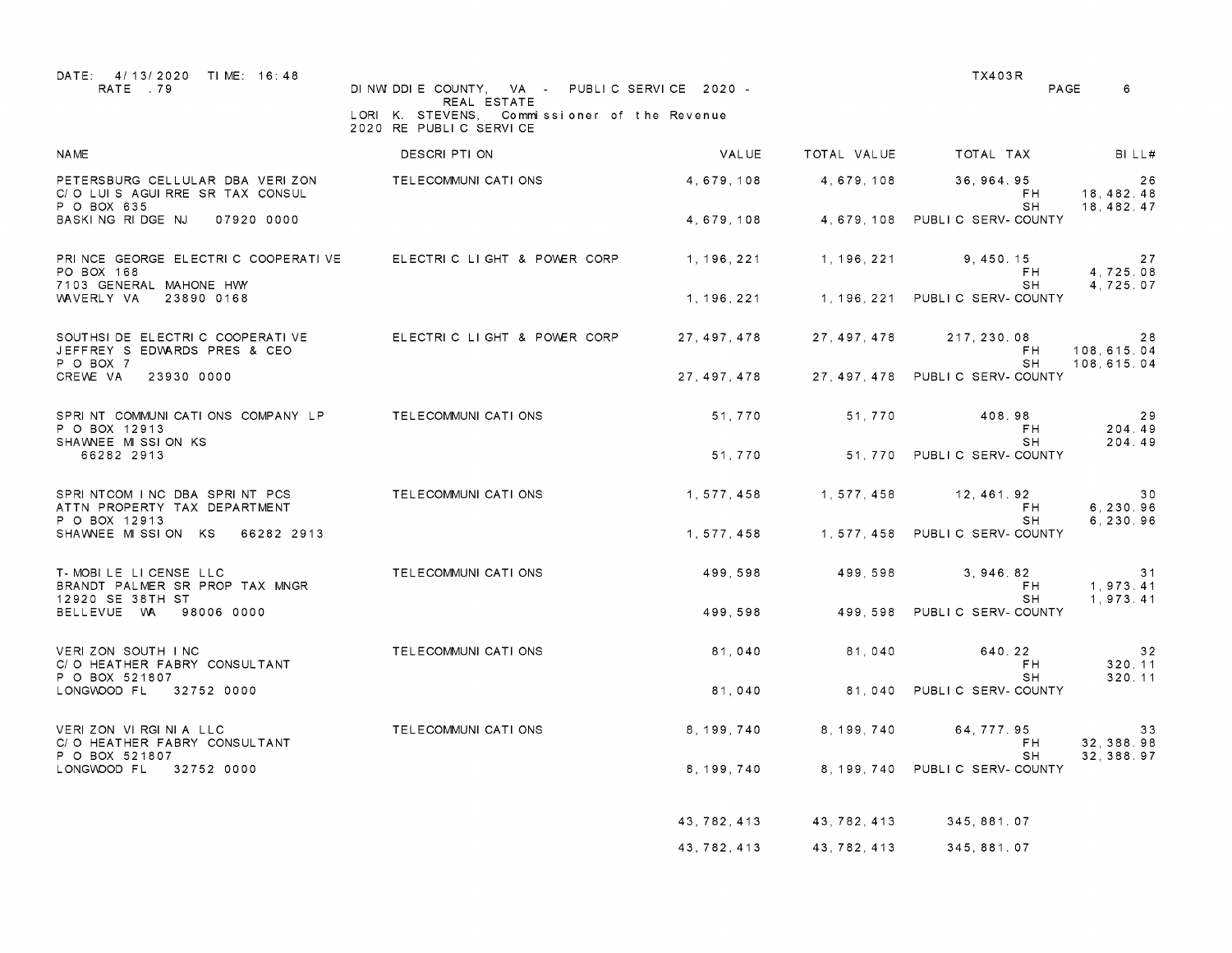| DATE: 4/13/2020 TIME: 16:48<br>RATE 79                                        | DINWIDDIE COUNTY VA - PUBLIC SERVICE 2020 -<br>REAL ESTATE<br>LORI K. STEVENS, Commissioner of the Revenue<br>2020 RE PUBLIC SERVICE |               |              | <b>TX403R</b><br>PAGE                 | 6                            |
|-------------------------------------------------------------------------------|--------------------------------------------------------------------------------------------------------------------------------------|---------------|--------------|---------------------------------------|------------------------------|
| <b>NAME</b>                                                                   | DESCRI PTI ON                                                                                                                        | VALUE         | TOTAL VALUE  | TOTAL TAX                             | BILL#                        |
| PETERSBURG CELLULAR DBA VERIZON<br>C/O LUIS AGUIRRE SR TAX CONSUL             | TELECOMMUNI CATI ONS                                                                                                                 | 4,679,108     | 4,679,108    | 36.964.95<br>FH.                      | 26<br>18, 482. 48            |
| P O BOX 635<br>BASKING RIDGE NJ<br>07920 0000                                 |                                                                                                                                      | 4,679,108     |              | SH<br>4, 679, 108 PUBLIC SERV-COUNTY  | 18, 482. 47                  |
| PRINCE GEORGE ELECTRIC COOPERATIVE<br>PO BOX 168<br>7103 GENERAL MAHONE HWY   | ELECTRIC LIGHT & POWER CORP                                                                                                          | 1, 196, 221   | 1, 196, 221  | 9.450.15<br>F <sub>H</sub><br>SH.     | 27<br>4.725.08<br>4.725.07   |
| WAVERLY VA<br>23890 0168                                                      |                                                                                                                                      | 1 , 196 , 221 |              | 1, 196, 221 PUBLIC SERV-COUNTY        |                              |
| SOUTHSI DE ELECTRIC COOPERATIVE<br>JEFFREY S EDWARDS PRES & CEO               | ELECTRIC LIGHT & POWER CORP                                                                                                          | 27, 497, 478  | 27, 497, 478 | 217, 230, 08<br>FH.                   | 28<br>108.615.04             |
| P O BOX 7<br>CREWE VA<br>23930 0000                                           |                                                                                                                                      | 27.497.478    |              | SH.<br>27.497.478 PUBLIC SERV-COUNTY  | 108, 615. 04                 |
| SPRINT COMMUNICATIONS COMPANY LP<br>P O BOX 12913<br>SHAWNEE MISSION KS       | TELECOMMUNI CATI ONS                                                                                                                 | 51,770        | 51,770       | 408.98<br>FH<br>SH.                   | 29<br>204.49<br>204.49       |
| 66282 2913                                                                    |                                                                                                                                      | 51.770        |              | 51.770 PUBLIC SERV-COUNTY             |                              |
| SPRINTCOM INC DBA SPRINT PCS<br>ATTN PROPERTY TAX DEPARTMENT<br>P O BOX 12913 | TELECOMMUNI CATI ONS                                                                                                                 | 1, 577, 458   | 1, 577, 458  | 12, 461. 92<br>FH<br>SH               | 30<br>6, 230.96<br>6, 230.96 |
| SHAWNEE MISSION KS 66282 2913                                                 |                                                                                                                                      | 1, 577, 458   |              | 1, 577, 458 PUBLIC SERV-COUNTY        |                              |
| T-MOBILE LICENSE LLC<br>BRANDT PALMER SR PROP TAX MNGR<br>12920 SE 38TH ST    | TELECOMMUNI CATI ONS                                                                                                                 | 499.598       | 499.598      | 3.946.82<br>FH.<br>SH.                | 31<br>1,973.41<br>1,973.41   |
| BELLEVUE WA<br>98006 0000                                                     |                                                                                                                                      | 499,598       | 499,598      | PUBLIC SERV-COUNTY                    |                              |
| VERIZON SOUTH INC<br>C/O HEATHER FABRY CONSULTANT<br>P O BOX 521807           | TELECOMMUNI CATI ONS                                                                                                                 | 81.040        | 81.040       | 640.22<br>F <sub>H</sub><br><b>SH</b> | 32<br>320.11<br>320.11       |
| LONGWOOD FL<br>32752 0000                                                     |                                                                                                                                      | 81,040        |              | 81.040 PUBLIC SERV-COUNTY             |                              |
| VERIZON VIRGINIA LLC<br>C/O HEATHER FABRY CONSULTANT<br>P O BOX 521807        | TELECOMMUNI CATI ONS                                                                                                                 | 8,199,740     | 8, 199, 740  | 64.777.95<br>FH.<br>SH.               | 33<br>32, 388.98             |
| LONGWOOD FL<br>32752 0000                                                     |                                                                                                                                      | 8.199.740     |              | 8, 199, 740 PUBLIC SERV-COUNTY        | 32, 388.97                   |
|                                                                               |                                                                                                                                      | 43, 782, 413  | 43, 782, 413 | 345,881.07                            |                              |
|                                                                               |                                                                                                                                      | 43, 782, 413  | 43, 782, 413 | 345,881.07                            |                              |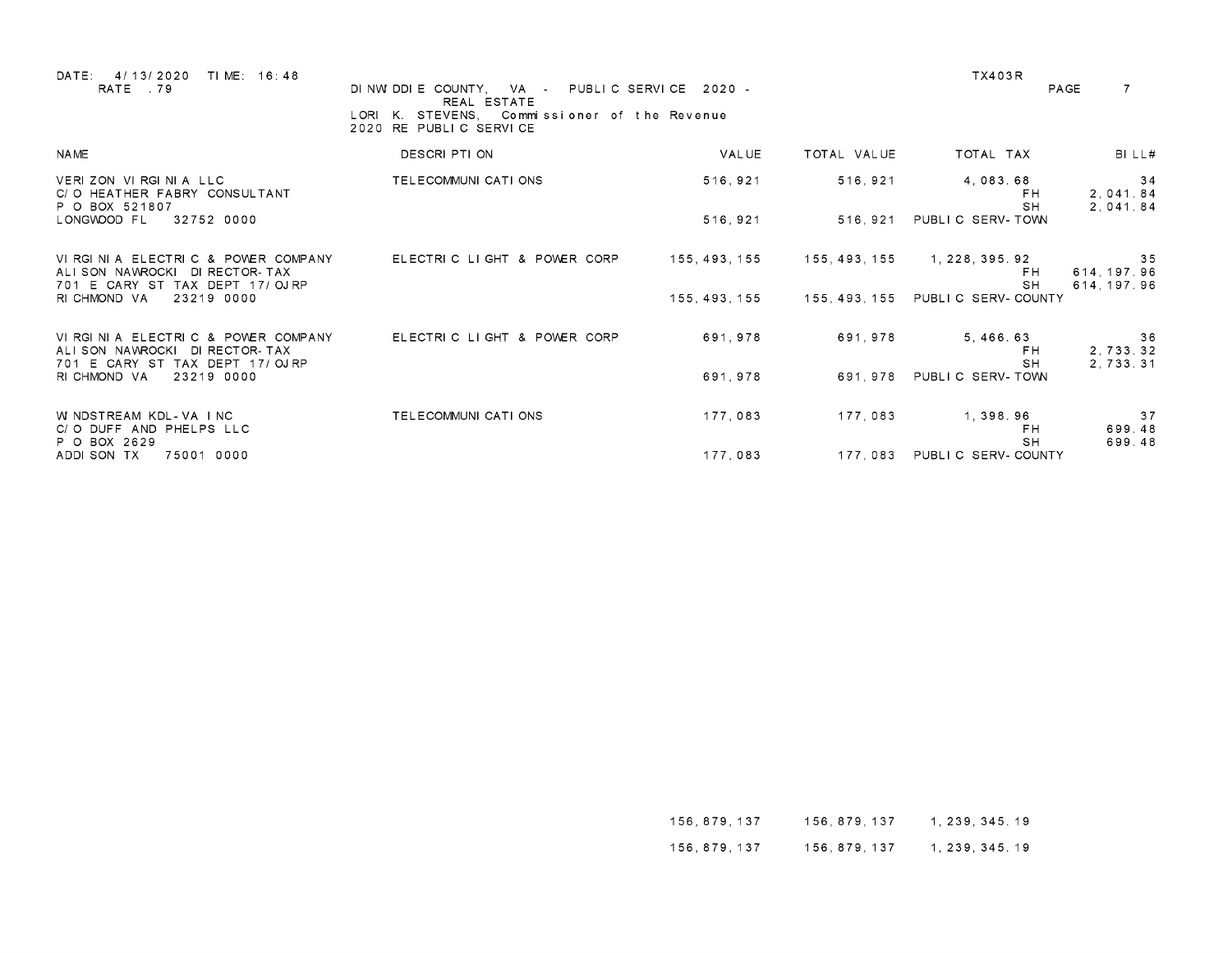| DATE:<br>4/13/2020<br>TIME: 16:48<br>RATE .79                                                            | DINWIDDIE COUNTY, VA - PUBLIC SERVICE 2020 -<br>REAL ESTATE<br>LORI K. STEVENS, Commissioner of the Revenue<br>2020 RE PUBLIC SERVICE |               |               | <b>TX403R</b>                       | $\overline{7}$<br>PAGE           |
|----------------------------------------------------------------------------------------------------------|---------------------------------------------------------------------------------------------------------------------------------------|---------------|---------------|-------------------------------------|----------------------------------|
| <b>NAME</b>                                                                                              | DESCRI PTI ON                                                                                                                         | VALUE         | TOTAL VALUE   | TOTAL TAX                           | BILL#                            |
| VERIZON VIRGINIA LLC<br>C/O HEATHER FABRY CONSULTANT<br>P O BOX 521807                                   | TELECOMMUNI CATI ONS                                                                                                                  | 516, 921      | 516, 921      | 4,083.68<br>FH.<br><b>SH</b>        | 34<br>2,041.84                   |
| LONGWOOD FL<br>32752 0000                                                                                |                                                                                                                                       | 516, 921      | 516.921       | PUBLIC SERV-TOWN                    | 2,041.84                         |
| VIRGINIA ELECTRIC & POWER COMPANY<br>ALISON NAVROCKI<br>DI RECTOR-TAX<br>701 E CARY ST TAX DEPT 17/OJRP  | ELECTRIC LIGHT & POWER CORP                                                                                                           | 155, 493, 155 | 155, 493, 155 | 1, 228, 395. 92<br>FH.<br><b>SH</b> | 35<br>614, 197.96<br>614, 197.96 |
| RI CHMOND VA<br>23219 0000                                                                               |                                                                                                                                       | 155, 493, 155 | 155, 493, 155 | PUBLIC SERV-COUNTY                  |                                  |
| VIRGINIA ELECTRIC & POWER COMPANY<br>ALISON NAWROCKI<br>DI RECTOR- TAX<br>701 E CARY ST TAX DEPT 17/OJRP | ELECTRIC LIGHT & POWER CORP                                                                                                           | 691, 978      | 691, 978      | 5, 466. 63<br>FH.<br><b>SH</b>      | 36<br>2,733.32<br>2.733.31       |
| RI CHMOND VA<br>23219 0000                                                                               |                                                                                                                                       | 691.978       | 691, 978      | PUBLIC SERV-TOWN                    |                                  |
| W NDSTREAM KDL-VA INC<br>C/O DUFF AND PHELPS LLC<br>P O BOX 2629                                         | TELECOMMUNI CATI ONS                                                                                                                  | 177.083       | 177.083       | 1,398.96<br>FH.<br><b>SH</b>        | 37<br>699.48<br>699.48           |
| ADDI SON TX<br>75001 0000                                                                                |                                                                                                                                       | 177,083       | 177,083       | PUBLIC SERV-COUNTY                  |                                  |

| 156,879,137 | 156.879.137 | 1, 239, 345. 19 |
|-------------|-------------|-----------------|
| 156,879,137 | 156.879.137 | 1, 239, 345. 19 |